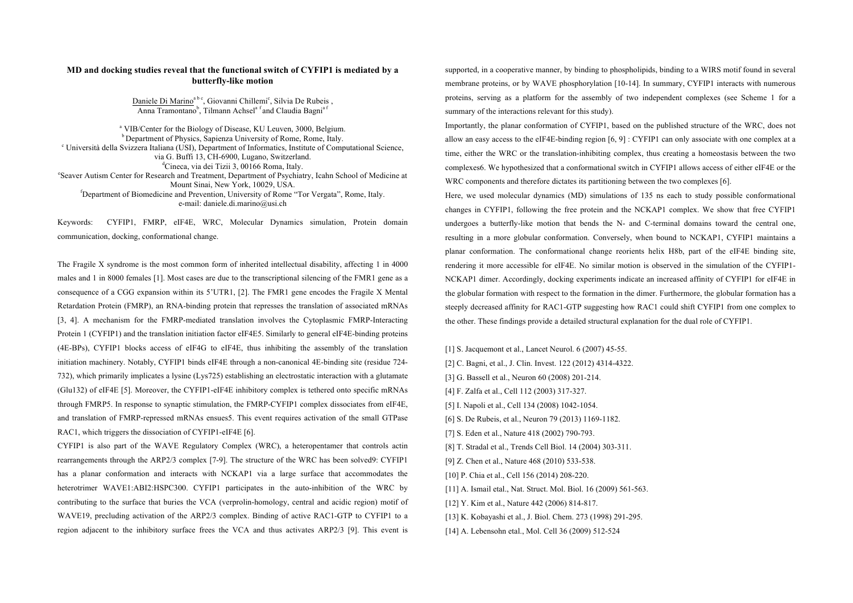## **MD and docking studies reveal that the functional switch of CYFIP1 is mediated by a butterfly-like motion**

Daniele Di Marino<sup>a b c</sup>, Giovanni Chillemi<sup>c</sup>, Silvia De Rubeis, Anna Tramontano<sup>b</sup>, Tilmann Achsel<sup>a f</sup>and Claudia Bagni<sup>a f</sup>

<sup>a</sup> VIB/Center for the Biology of Disease, KU Leuven, 3000, Belgium. <sup>b</sup> Department of Physics, Sapienza University of Rome, Rome, Italy. <sup>c</sup> Università della Svizzera Italiana (USI), Department of Informatics, Institute of Computational Science, via G. Buffi 13, CH-6900, Lugano, Switzerland. d Cineca, via dei Tizii 3, 00166 Roma, Italy. e Seaver Autism Center for Research and Treatment, Department of Psychiatry, Icahn School of Medicine at Mount Sinai, New York, 10029, USA. f Department of Biomedicine and Prevention, University of Rome "Tor Vergata", Rome, Italy. e-mail: daniele.di.marino@usi.ch

Keywords: CYFIP1, FMRP, eIF4E, WRC, Molecular Dynamics simulation, Protein domain communication, docking, conformational change.

The Fragile X syndrome is the most common form of inherited intellectual disability, affecting 1 in 4000 males and 1 in 8000 females [1]. Most cases are due to the transcriptional silencing of the FMR1 gene as a consequence of a CGG expansion within its 5'UTR1, [2]. The FMR1 gene encodes the Fragile X Mental Retardation Protein (FMRP), an RNA-binding protein that represses the translation of associated mRNAs [3, 4]. A mechanism for the FMRP-mediated translation involves the Cytoplasmic FMRP-Interacting Protein 1 (CYFIP1) and the translation initiation factor eIF4E5. Similarly to general eIF4E-binding proteins (4E-BPs), CYFIP1 blocks access of eIF4G to eIF4E, thus inhibiting the assembly of the translation initiation machinery. Notably, CYFIP1 binds eIF4E through a non-canonical 4E-binding site (residue 724- 732), which primarily implicates a lysine (Lys725) establishing an electrostatic interaction with a glutamate (Glu132) of eIF4E [5]. Moreover, the CYFIP1-eIF4E inhibitory complex is tethered onto specific mRNAs through FMRP5. In response to synaptic stimulation, the FMRP-CYFIP1 complex dissociates from eIF4E, and translation of FMRP-repressed mRNAs ensues5. This event requires activation of the small GTPase RAC1, which triggers the dissociation of CYFIP1-eIF4E [6].

CYFIP1 is also part of the WAVE Regulatory Complex (WRC), a heteropentamer that controls actin rearrangements through the ARP2/3 complex [7-9]. The structure of the WRC has been solved9: CYFIP1 has a planar conformation and interacts with NCKAP1 via a large surface that accommodates the heterotrimer WAVE1:ABI2:HSPC300. CYFIP1 participates in the auto-inhibition of the WRC by contributing to the surface that buries the VCA (verprolin-homology, central and acidic region) motif of WAVE19, precluding activation of the ARP2/3 complex. Binding of active RAC1-GTP to CYFIP1 to a region adjacent to the inhibitory surface frees the VCA and thus activates ARP2/3 [9]. This event is supported, in a cooperative manner, by binding to phospholipids, binding to a WIRS motif found in several membrane proteins, or by WAVE phosphorylation [10-14]. In summary, CYFIP1 interacts with numerous proteins, serving as a platform for the assembly of two independent complexes (see Scheme 1 for a summary of the interactions relevant for this study).

Importantly, the planar conformation of CYFIP1, based on the published structure of the WRC, does not allow an easy access to the eIF4E-binding region [6, 9] : CYFIP1 can only associate with one complex at a time, either the WRC or the translation-inhibiting complex, thus creating a homeostasis between the two complexes6. We hypothesized that a conformational switch in CYFIP1 allows access of either eIF4E or the WRC components and therefore dictates its partitioning between the two complexes [6].

Here, we used molecular dynamics (MD) simulations of 135 ns each to study possible conformational changes in CYFIP1, following the free protein and the NCKAP1 complex. We show that free CYFIP1 undergoes a butterfly-like motion that bends the N- and C-terminal domains toward the central one, resulting in a more globular conformation. Conversely, when bound to NCKAP1, CYFIP1 maintains a planar conformation. The conformational change reorients helix H8b, part of the eIF4E binding site, rendering it more accessible for eIF4E. No similar motion is observed in the simulation of the CYFIP1- NCKAP1 dimer. Accordingly, docking experiments indicate an increased affinity of CYFIP1 for eIF4E in the globular formation with respect to the formation in the dimer. Furthermore, the globular formation has a steeply decreased affinity for RAC1-GTP suggesting how RAC1 could shift CYFIP1 from one complex to the other. These findings provide a detailed structural explanation for the dual role of CYFIP1.

[1] S. Jacquemont et al., Lancet Neurol. 6 (2007) 45-55.

- [2] C. Bagni, et al., J. Clin. Invest. 122 (2012) 4314-4322.
- [3] G. Bassell et al., Neuron 60 (2008) 201-214.
- [4] F. Zalfa et al., Cell 112 (2003) 317-327.
- [5] I. Napoli et al., Cell 134 (2008) 1042-1054.
- [6] S. De Rubeis, et al., Neuron 79 (2013) 1169-1182.
- [7] S. Eden et al., Nature 418 (2002) 790-793.
- [8] T. Stradal et al., Trends Cell Biol. 14 (2004) 303-311.
- [9] Z. Chen et al., Nature 468 (2010) 533-538.
- [10] P. Chia et al., Cell 156 (2014) 208-220.
- [11] A. Ismail etal., Nat. Struct. Mol. Biol. 16 (2009) 561-563.
- [12] Y. Kim et al., Nature 442 (2006) 814-817.
- [13] K. Kobayashi et al., J. Biol. Chem. 273 (1998) 291-295.
- [14] A. Lebensohn etal., Mol. Cell 36 (2009) 512-524